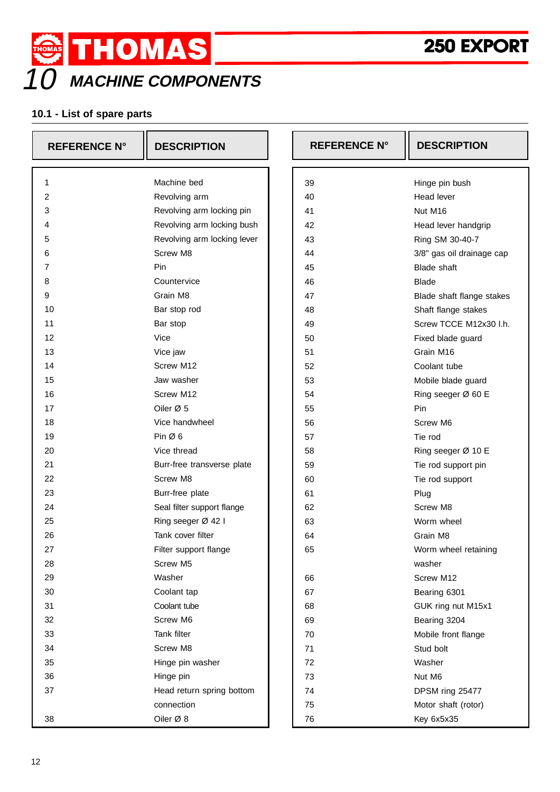



## **10.1 - List of spare parts**

| <b>REFERENCE N°</b> | <b>DESCRIPTION</b>          | <b>REFERENCE N°</b> | <b>DESCRIPTION</b>           |
|---------------------|-----------------------------|---------------------|------------------------------|
| 1                   | Machine bed                 | 39                  |                              |
| 2                   | Revolving arm               | 40                  | Hinge pin bush<br>Head lever |
| 3                   | Revolving arm locking pin   | 41                  | Nut M16                      |
| 4                   | Revolving arm locking bush  | 42                  | Head lever handgrip          |
| 5                   | Revolving arm locking lever | 43                  | Ring SM 30-40-7              |
| 6                   | Screw M8                    | 44                  | 3/8" gas oil drainage cap    |
| 7                   | Pin                         | 45                  | <b>Blade shaft</b>           |
| 8                   | Countervice                 | 46                  | <b>Blade</b>                 |
| 9                   | Grain M8                    | 47                  | Blade shaft flange stakes    |
| 10                  | Bar stop rod                | 48                  | Shaft flange stakes          |
| 11                  | Bar stop                    | 49                  | Screw TCCE M12x30 I.h.       |
| 12                  | Vice                        | 50                  | Fixed blade guard            |
| 13                  | Vice jaw                    | 51                  | Grain M16                    |
| 14                  | Screw M12                   | 52                  | Coolant tube                 |
| 15                  | Jaw washer                  | 53                  | Mobile blade guard           |
| 16                  | Screw M12                   | 54                  | Ring seeger Ø 60 E           |
| 17                  | Oiler Ø 5                   | 55                  | Pin                          |
| 18                  | Vice handwheel              | 56                  | Screw M6                     |
| 19                  | Pin $\varnothing$ 6         | 57                  | Tie rod                      |
| 20                  | Vice thread                 | 58                  | Ring seeger Ø 10 E           |
| 21                  | Burr-free transverse plate  | 59                  | Tie rod support pin          |
| 22                  | Screw M8                    | 60                  | Tie rod support              |
| 23                  | Burr-free plate             | 61                  | Plug                         |
| 24                  | Seal filter support flange  | 62                  | Screw M8                     |
| 25                  | Ring seeger Ø 42 I          | 63                  | Worm wheel                   |
| 26                  | Tank cover filter           | 64                  | Grain M8                     |
| 27                  | Filter support flange       | 65                  | Worm wheel retaining         |
| 28                  | Screw M5                    |                     | washer                       |
| 29                  | Washer                      | 66                  | Screw M12                    |
| 30                  | Coolant tap                 | 67                  | Bearing 6301                 |
| 31                  | Coolant tube                | 68                  | GUK ring nut M15x1           |
| 32                  | Screw M6                    | 69                  | Bearing 3204                 |
| 33                  | Tank filter                 | 70                  | Mobile front flange          |
| 34                  | Screw M8                    | 71                  | Stud bolt                    |
| 35                  | Hinge pin washer            | 72                  | Washer                       |
| 36                  | Hinge pin                   | 73                  | Nut M6                       |
| 37                  | Head return spring bottom   | 74                  | DPSM ring 25477              |
|                     | connection                  | 75                  | Motor shaft (rotor)          |
|                     |                             |                     |                              |
| 38                  | Oiler Ø 8                   | 76                  | Key 6x5x35                   |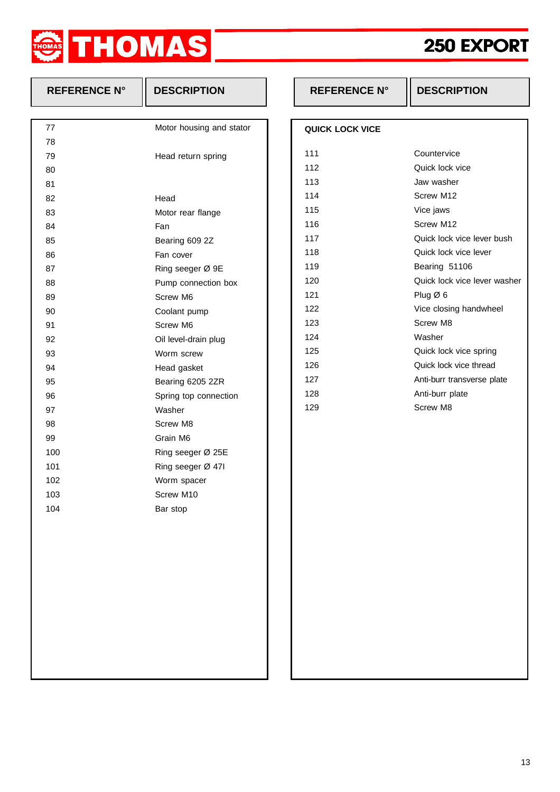

## **250 EXPOR 250 EXPORT**

| <b>REFERENCE N°</b> | <b>DESCRIPTION</b>       | <b>REFERENCE N°</b>    | <b>DESCRIPTION</b>    |
|---------------------|--------------------------|------------------------|-----------------------|
|                     |                          |                        |                       |
| 77                  | Motor housing and stator | <b>QUICK LOCK VICE</b> |                       |
| 78                  |                          |                        |                       |
| 79                  | Head return spring       | 111                    | Countervice           |
| 80                  |                          | 112                    | Quick lock vice       |
| 81                  |                          | 113                    | Jaw washer            |
| 82                  | Head                     | 114                    | Screw M12             |
| 83                  | Motor rear flange        | 115                    | Vice jaws             |
| 84                  | Fan                      | 116                    | Screw M12             |
| 85                  | Bearing 609 2Z           | 117                    | Quick lock vice leve  |
| 86                  | Fan cover                | 118                    | Quick lock vice leve  |
| 87                  | Ring seeger Ø 9E         | 119                    | Bearing 51106         |
| 88                  | Pump connection box      | 120                    | Quick lock vice leve  |
| 89                  | Screw M6                 | 121                    | Plug Ø 6              |
| 90                  | Coolant pump             | 122                    | Vice closing handwl   |
| 91                  | Screw M6                 | 123                    | Screw M8              |
| 92                  | Oil level-drain plug     | 124                    | Washer                |
| 93                  | Worm screw               | 125                    | Quick lock vice sprir |
| 94                  | Head gasket              | 126                    | Quick lock vice threa |
| 95                  | Bearing 6205 2ZR         | 127                    | Anti-burr transverse  |
| 96                  | Spring top connection    | 128                    | Anti-burr plate       |
| 97                  | Washer                   | 129                    | Screw M8              |
| 98                  | Screw M8                 |                        |                       |
| 99                  | Grain M6                 |                        |                       |
| 100                 | Ring seeger Ø 25E        |                        |                       |
| 101                 | Ring seeger Ø 471        |                        |                       |
| 102                 | Worm spacer              |                        |                       |
| 103                 | Screw M10                |                        |                       |
| 104                 | Bar stop                 |                        |                       |
|                     |                          |                        |                       |
|                     |                          |                        |                       |
|                     |                          |                        |                       |
|                     |                          |                        |                       |
|                     |                          |                        |                       |
|                     |                          |                        |                       |
|                     |                          |                        |                       |
|                     |                          |                        |                       |
|                     |                          |                        |                       |
|                     |                          |                        |                       |

| QUICK LOCK VICE |                              |
|-----------------|------------------------------|
| 111             | Countervice                  |
| 112             | Quick lock vice              |
| 113             | Jaw washer                   |
| 114             | Screw M12                    |
| 115             | Vice jaws                    |
| 116             | Screw M <sub>12</sub>        |
| 117             | Quick lock vice lever bush   |
| 118             | Quick lock vice lever        |
| 119             | Bearing 51106                |
| 120             | Quick lock vice lever washer |
| 121             | Plug $\varnothing$ 6         |
| 122             | Vice closing handwheel       |
| 123             | Screw M8                     |
| 124             | Washer                       |
| 125             | Quick lock vice spring       |
| 126             | Quick lock vice thread       |
| 127             | Anti-burr transverse plate   |
| 128             | Anti-burr plate              |
| 129             | Screw M8                     |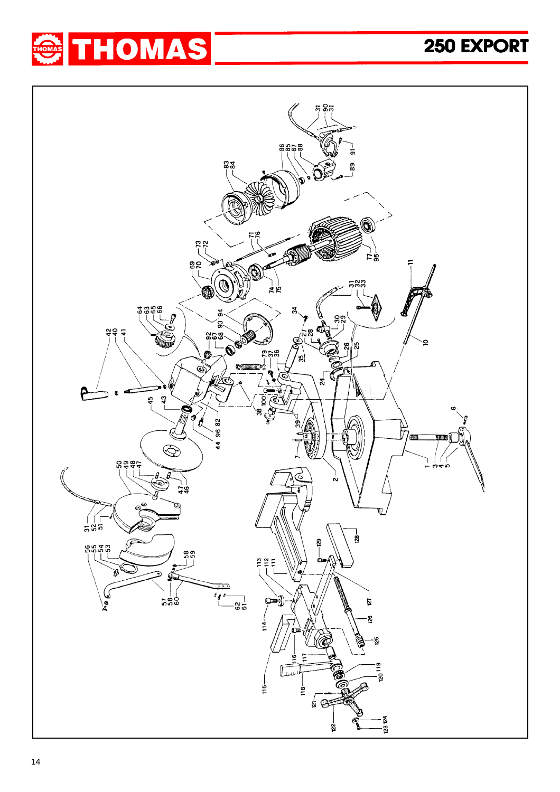

## **250 EXPOR 250 EXPORT**